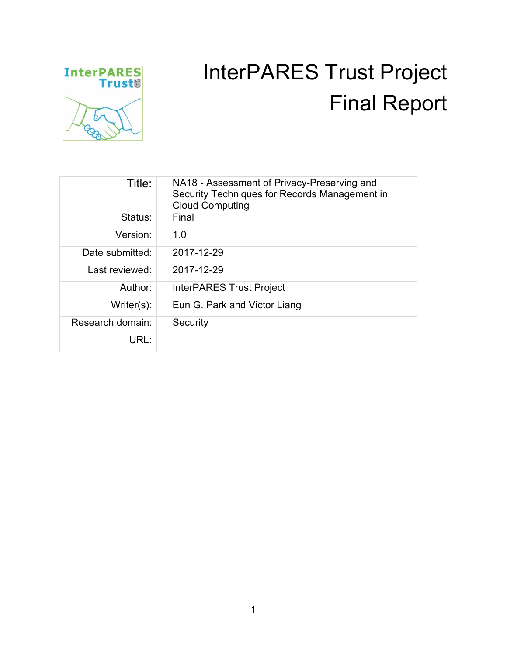

# InterPARES Trust Project Final Report

| Title:           | NA18 - Assessment of Privacy-Preserving and<br>Security Techniques for Records Management in<br><b>Cloud Computing</b> |
|------------------|------------------------------------------------------------------------------------------------------------------------|
| Status:          | Final                                                                                                                  |
| Version:         | 1.0                                                                                                                    |
| Date submitted:  | 2017-12-29                                                                                                             |
| Last reviewed:   | 2017-12-29                                                                                                             |
| Author:          | <b>InterPARES Trust Project</b>                                                                                        |
| $Writer(s)$ :    | Eun G. Park and Victor Liang                                                                                           |
| Research domain: | Security                                                                                                               |
| URL:             |                                                                                                                        |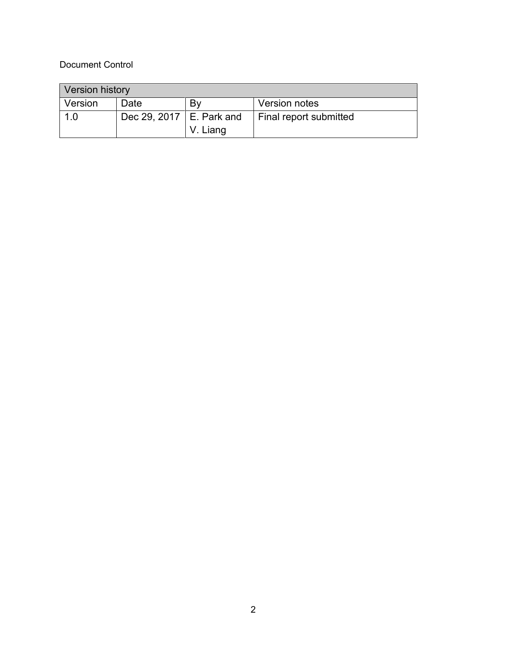#### Document Control

| <b>Version history</b> |                            |          |                        |
|------------------------|----------------------------|----------|------------------------|
| Version                | Date                       | Bv       | Version notes          |
| 1.0                    | Dec 29, 2017   E. Park and |          | Final report submitted |
|                        |                            | V. Liang |                        |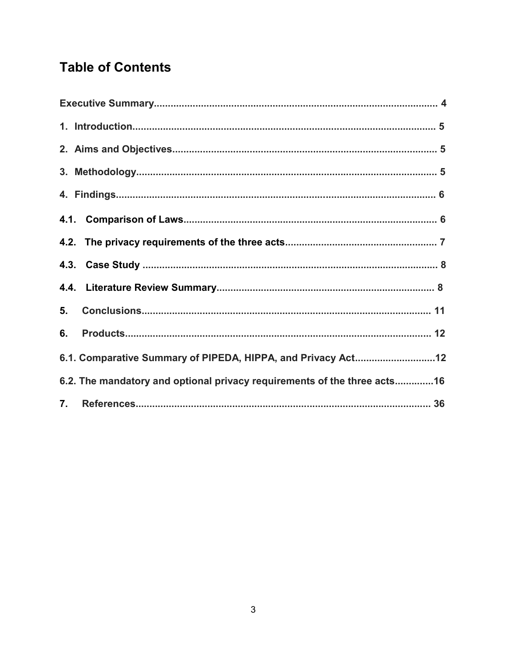## **Table of Contents**

| 5.                                                                       |  |
|--------------------------------------------------------------------------|--|
| 6.                                                                       |  |
| 6.1. Comparative Summary of PIPEDA, HIPPA, and Privacy Act12             |  |
| 6.2. The mandatory and optional privacy requirements of the three acts16 |  |
|                                                                          |  |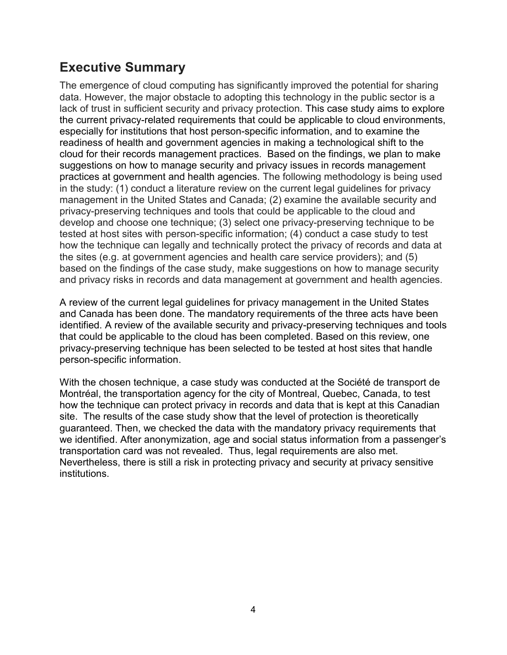## **Executive Summary**

The emergence of cloud computing has significantly improved the potential for sharing data. However, the major obstacle to adopting this technology in the public sector is a lack of trust in sufficient security and privacy protection. This case study aims to explore the current privacy-related requirements that could be applicable to cloud environments, especially for institutions that host person-specific information, and to examine the readiness of health and government agencies in making a technological shift to the cloud for their records management practices. Based on the findings, we plan to make suggestions on how to manage security and privacy issues in records management practices at government and health agencies. The following methodology is being used in the study: (1) conduct a literature review on the current legal guidelines for privacy management in the United States and Canada; (2) examine the available security and privacy-preserving techniques and tools that could be applicable to the cloud and develop and choose one technique; (3) select one privacy-preserving technique to be tested at host sites with person-specific information; (4) conduct a case study to test how the technique can legally and technically protect the privacy of records and data at the sites (e.g. at government agencies and health care service providers); and (5) based on the findings of the case study, make suggestions on how to manage security and privacy risks in records and data management at government and health agencies.

A review of the current legal guidelines for privacy management in the United States and Canada has been done. The mandatory requirements of the three acts have been identified. A review of the available security and privacy-preserving techniques and tools that could be applicable to the cloud has been completed. Based on this review, one privacy-preserving technique has been selected to be tested at host sites that handle person-specific information.

With the chosen technique, a case study was conducted at the Société de transport de Montréal, the transportation agency for the city of Montreal, Quebec, Canada, to test how the technique can protect privacy in records and data that is kept at this Canadian site. The results of the case study show that the level of protection is theoretically guaranteed. Then, we checked the data with the mandatory privacy requirements that we identified. After anonymization, age and social status information from a passenger's transportation card was not revealed. Thus, legal requirements are also met. Nevertheless, there is still a risk in protecting privacy and security at privacy sensitive institutions.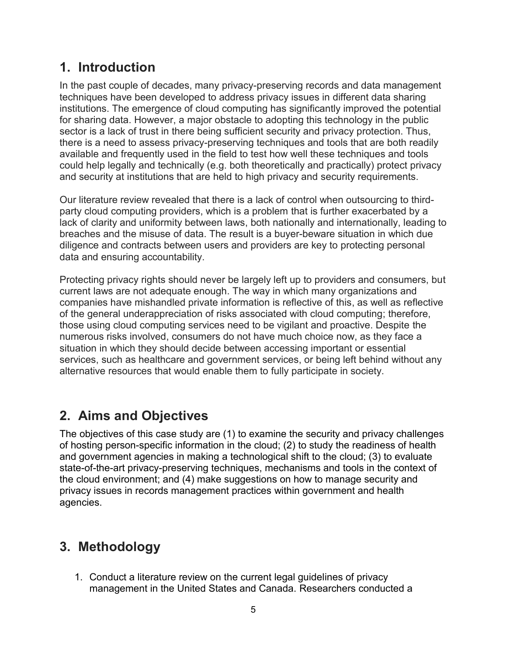## **1. Introduction**

In the past couple of decades, many privacy-preserving records and data management techniques have been developed to address privacy issues in different data sharing institutions. The emergence of cloud computing has significantly improved the potential for sharing data. However, a major obstacle to adopting this technology in the public sector is a lack of trust in there being sufficient security and privacy protection. Thus, there is a need to assess privacy-preserving techniques and tools that are both readily available and frequently used in the field to test how well these techniques and tools could help legally and technically (e.g. both theoretically and practically) protect privacy and security at institutions that are held to high privacy and security requirements.

Our literature review revealed that there is a lack of control when outsourcing to thirdparty cloud computing providers, which is a problem that is further exacerbated by a lack of clarity and uniformity between laws, both nationally and internationally, leading to breaches and the misuse of data. The result is a buyer-beware situation in which due diligence and contracts between users and providers are key to protecting personal data and ensuring accountability.

Protecting privacy rights should never be largely left up to providers and consumers, but current laws are not adequate enough. The way in which many organizations and companies have mishandled private information is reflective of this, as well as reflective of the general underappreciation of risks associated with cloud computing; therefore, those using cloud computing services need to be vigilant and proactive. Despite the numerous risks involved, consumers do not have much choice now, as they face a situation in which they should decide between accessing important or essential services, such as healthcare and government services, or being left behind without any alternative resources that would enable them to fully participate in society.

## **2. Aims and Objectives**

The objectives of this case study are (1) to examine the security and privacy challenges of hosting person-specific information in the cloud; (2) to study the readiness of health and government agencies in making a technological shift to the cloud; (3) to evaluate state-of-the-art privacy-preserving techniques, mechanisms and tools in the context of the cloud environment; and (4) make suggestions on how to manage security and privacy issues in records management practices within government and health agencies.

## **3. Methodology**

1. Conduct a literature review on the current legal guidelines of privacy management in the United States and Canada. Researchers conducted a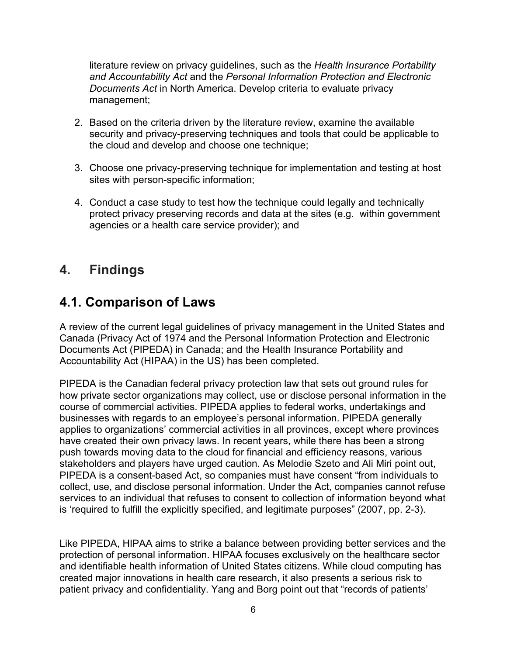literature review on privacy guidelines, such as the *Health Insurance Portability and Accountability Act* and the *Personal Information Protection and Electronic Documents Act* in North America. Develop criteria to evaluate privacy management;

- 2. Based on the criteria driven by the literature review, examine the available security and privacy-preserving techniques and tools that could be applicable to the cloud and develop and choose one technique;
- 3. Choose one privacy-preserving technique for implementation and testing at host sites with person-specific information;
- 4. Conduct a case study to test how the technique could legally and technically protect privacy preserving records and data at the sites (e.g. within government agencies or a health care service provider); and

#### **4. Findings**

#### **4.1. Comparison of Laws**

A review of the current legal guidelines of privacy management in the United States and Canada (Privacy Act of 1974 and the Personal Information Protection and Electronic Documents Act (PIPEDA) in Canada; and the Health Insurance Portability and Accountability Act (HIPAA) in the US) has been completed.

PIPEDA is the Canadian federal privacy protection law that sets out ground rules for how private sector organizations may collect, use or disclose personal information in the course of commercial activities. PIPEDA applies to federal works, undertakings and businesses with regards to an employee's personal information. PIPEDA generally applies to organizations' commercial activities in all provinces, except where provinces have created their own privacy laws. In recent years, while there has been a strong push towards moving data to the cloud for financial and efficiency reasons, various stakeholders and players have urged caution. As Melodie Szeto and Ali Miri point out, PIPEDA is a consent-based Act, so companies must have consent "from individuals to collect, use, and disclose personal information. Under the Act, companies cannot refuse services to an individual that refuses to consent to collection of information beyond what is 'required to fulfill the explicitly specified, and legitimate purposes" (2007, pp. 2-3).

Like PIPEDA, HIPAA aims to strike a balance between providing better services and the protection of personal information. HIPAA focuses exclusively on the healthcare sector and identifiable health information of United States citizens. While cloud computing has created major innovations in health care research, it also presents a serious risk to patient privacy and confidentiality. Yang and Borg point out that "records of patients'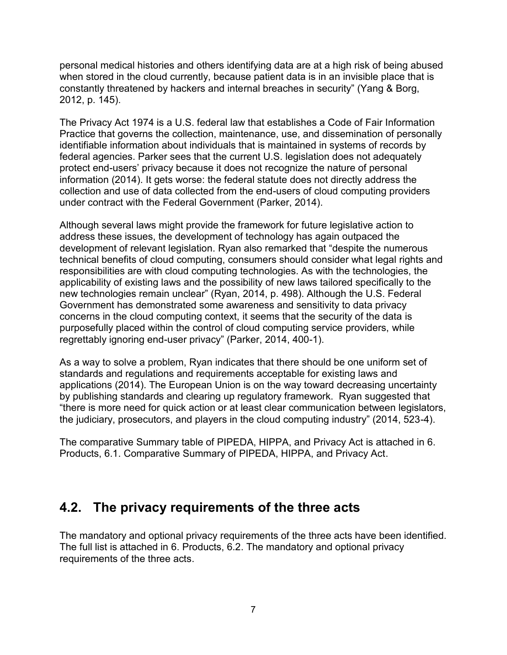personal medical histories and others identifying data are at a high risk of being abused when stored in the cloud currently, because patient data is in an invisible place that is constantly threatened by hackers and internal breaches in security" (Yang & Borg, 2012, p. 145).

The Privacy Act 1974 is a U.S. federal law that establishes a Code of Fair Information Practice that governs the collection, maintenance, use, and dissemination of personally identifiable information about individuals that is maintained in systems of records by federal agencies. Parker sees that the current U.S. legislation does not adequately protect end-users' privacy because it does not recognize the nature of personal information (2014). It gets worse: the federal statute does not directly address the collection and use of data collected from the end-users of cloud computing providers under contract with the Federal Government (Parker, 2014).

Although several laws might provide the framework for future legislative action to address these issues, the development of technology has again outpaced the development of relevant legislation. Ryan also remarked that "despite the numerous technical benefits of cloud computing, consumers should consider what legal rights and responsibilities are with cloud computing technologies. As with the technologies, the applicability of existing laws and the possibility of new laws tailored specifically to the new technologies remain unclear" (Ryan, 2014, p. 498). Although the U.S. Federal Government has demonstrated some awareness and sensitivity to data privacy concerns in the cloud computing context, it seems that the security of the data is purposefully placed within the control of cloud computing service providers, while regrettably ignoring end-user privacy" (Parker, 2014, 400-1).

As a way to solve a problem, Ryan indicates that there should be one uniform set of standards and regulations and requirements acceptable for existing laws and applications (2014). The European Union is on the way toward decreasing uncertainty by publishing standards and clearing up regulatory framework. Ryan suggested that "there is more need for quick action or at least clear communication between legislators, the judiciary, prosecutors, and players in the cloud computing industry" (2014, 523-4).

The comparative Summary table of PIPEDA, HIPPA, and Privacy Act is attached in 6. Products, 6.1. Comparative Summary of PIPEDA, HIPPA, and Privacy Act.

#### **4.2. The privacy requirements of the three acts**

The mandatory and optional privacy requirements of the three acts have been identified. The full list is attached in 6. Products, 6.2. The mandatory and optional privacy requirements of the three acts.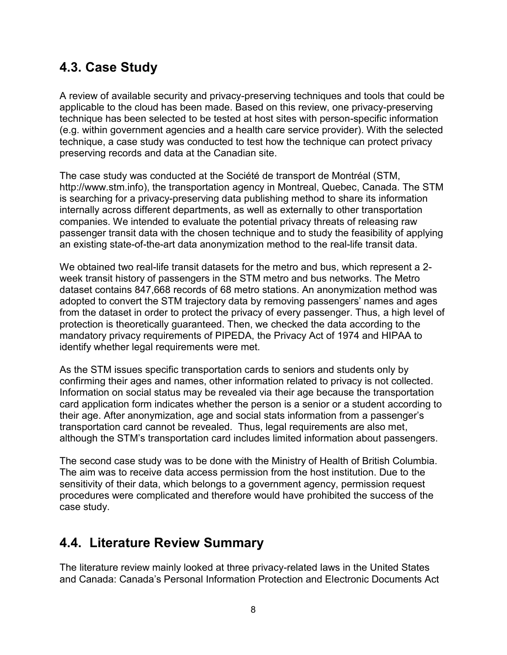### **4.3. Case Study**

A review of available security and privacy-preserving techniques and tools that could be applicable to the cloud has been made. Based on this review, one privacy-preserving technique has been selected to be tested at host sites with person-specific information (e.g. within government agencies and a health care service provider). With the selected technique, a case study was conducted to test how the technique can protect privacy preserving records and data at the Canadian site.

The case study was conducted at the Société de transport de Montréal (STM, http://www.stm.info), the transportation agency in Montreal, Quebec, Canada. The STM is searching for a privacy-preserving data publishing method to share its information internally across different departments, as well as externally to other transportation companies. We intended to evaluate the potential privacy threats of releasing raw passenger transit data with the chosen technique and to study the feasibility of applying an existing state-of-the-art data anonymization method to the real-life transit data.

We obtained two real-life transit datasets for the metro and bus, which represent a 2 week transit history of passengers in the STM metro and bus networks. The Metro dataset contains 847,668 records of 68 metro stations. An anonymization method was adopted to convert the STM trajectory data by removing passengers' names and ages from the dataset in order to protect the privacy of every passenger. Thus, a high level of protection is theoretically guaranteed. Then, we checked the data according to the mandatory privacy requirements of PIPEDA, the Privacy Act of 1974 and HIPAA to identify whether legal requirements were met.

As the STM issues specific transportation cards to seniors and students only by confirming their ages and names, other information related to privacy is not collected. Information on social status may be revealed via their age because the transportation card application form indicates whether the person is a senior or a student according to their age. After anonymization, age and social stats information from a passenger's transportation card cannot be revealed. Thus, legal requirements are also met, although the STM's transportation card includes limited information about passengers.

The second case study was to be done with the Ministry of Health of British Columbia. The aim was to receive data access permission from the host institution. Due to the sensitivity of their data, which belongs to a government agency, permission request procedures were complicated and therefore would have prohibited the success of the case study.

#### **4.4. Literature Review Summary**

The literature review mainly looked at three privacy-related laws in the United States and Canada: Canada's Personal Information Protection and Electronic Documents Act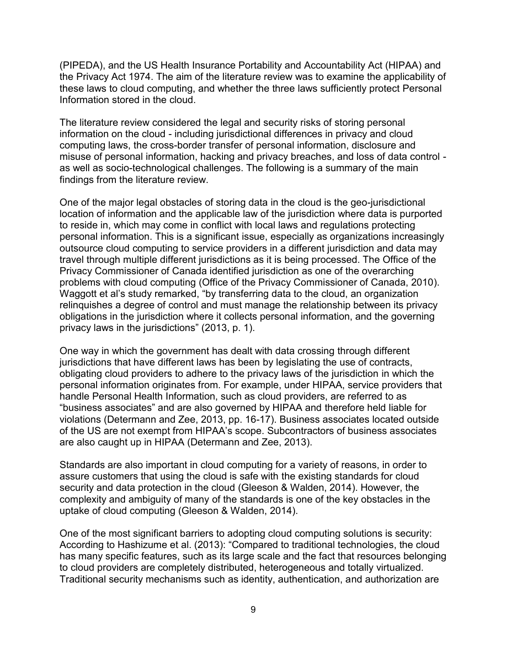(PIPEDA), and the US Health Insurance Portability and Accountability Act (HIPAA) and the Privacy Act 1974. The aim of the literature review was to examine the applicability of these laws to cloud computing, and whether the three laws sufficiently protect Personal Information stored in the cloud.

The literature review considered the legal and security risks of storing personal information on the cloud - including jurisdictional differences in privacy and cloud computing laws, the cross-border transfer of personal information, disclosure and misuse of personal information, hacking and privacy breaches, and loss of data control as well as socio-technological challenges. The following is a summary of the main findings from the literature review.

One of the major legal obstacles of storing data in the cloud is the geo-jurisdictional location of information and the applicable law of the jurisdiction where data is purported to reside in, which may come in conflict with local laws and regulations protecting personal information. This is a significant issue, especially as organizations increasingly outsource cloud computing to service providers in a different jurisdiction and data may travel through multiple different jurisdictions as it is being processed. The Office of the Privacy Commissioner of Canada identified jurisdiction as one of the overarching problems with cloud computing (Office of the Privacy Commissioner of Canada, 2010). Waggott et al's study remarked, "by transferring data to the cloud, an organization relinquishes a degree of control and must manage the relationship between its privacy obligations in the jurisdiction where it collects personal information, and the governing privacy laws in the jurisdictions" (2013, p. 1).

One way in which the government has dealt with data crossing through different jurisdictions that have different laws has been by legislating the use of contracts, obligating cloud providers to adhere to the privacy laws of the jurisdiction in which the personal information originates from. For example, under HIPAA, service providers that handle Personal Health Information, such as cloud providers, are referred to as "business associates" and are also governed by HIPAA and therefore held liable for violations (Determann and Zee, 2013, pp. 16-17). Business associates located outside of the US are not exempt from HIPAA's scope. Subcontractors of business associates are also caught up in HIPAA (Determann and Zee, 2013).

Standards are also important in cloud computing for a variety of reasons, in order to assure customers that using the cloud is safe with the existing standards for cloud security and data protection in the cloud (Gleeson & Walden, 2014). However, the complexity and ambiguity of many of the standards is one of the key obstacles in the uptake of cloud computing (Gleeson & Walden, 2014).

One of the most significant barriers to adopting cloud computing solutions is security: According to Hashizume et al. (2013): "Compared to traditional technologies, the cloud has many specific features, such as its large scale and the fact that resources belonging to cloud providers are completely distributed, heterogeneous and totally virtualized. Traditional security mechanisms such as identity, authentication, and authorization are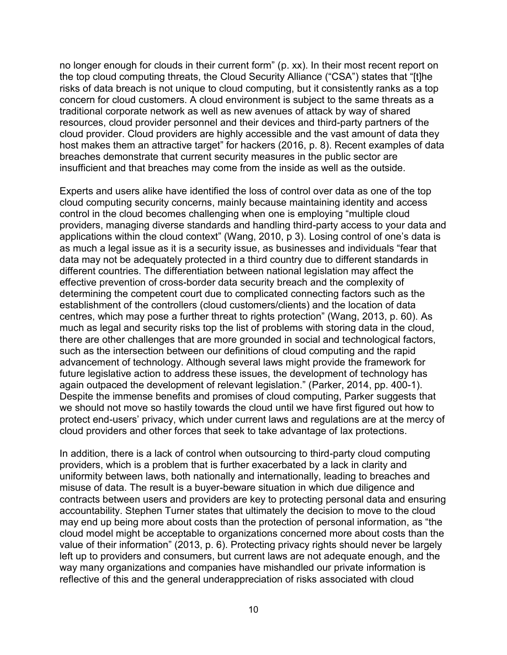no longer enough for clouds in their current form" (p. xx). In their most recent report on the top cloud computing threats, the Cloud Security Alliance ("CSA") states that "[t]he risks of data breach is not unique to cloud computing, but it consistently ranks as a top concern for cloud customers. A cloud environment is subject to the same threats as a traditional corporate network as well as new avenues of attack by way of shared resources, cloud provider personnel and their devices and third-party partners of the cloud provider. Cloud providers are highly accessible and the vast amount of data they host makes them an attractive target" for hackers (2016, p. 8). Recent examples of data breaches demonstrate that current security measures in the public sector are insufficient and that breaches may come from the inside as well as the outside.

Experts and users alike have identified the loss of control over data as one of the top cloud computing security concerns, mainly because maintaining identity and access control in the cloud becomes challenging when one is employing "multiple cloud providers, managing diverse standards and handling third-party access to your data and applications within the cloud context" (Wang, 2010, p 3). Losing control of one's data is as much a legal issue as it is a security issue, as businesses and individuals "fear that data may not be adequately protected in a third country due to different standards in different countries. The differentiation between national legislation may affect the effective prevention of cross-border data security breach and the complexity of determining the competent court due to complicated connecting factors such as the establishment of the controllers (cloud customers/clients) and the location of data centres, which may pose a further threat to rights protection" (Wang, 2013, p. 60). As much as legal and security risks top the list of problems with storing data in the cloud, there are other challenges that are more grounded in social and technological factors, such as the intersection between our definitions of cloud computing and the rapid advancement of technology. Although several laws might provide the framework for future legislative action to address these issues, the development of technology has again outpaced the development of relevant legislation." (Parker, 2014, pp. 400-1). Despite the immense benefits and promises of cloud computing, Parker suggests that we should not move so hastily towards the cloud until we have first figured out how to protect end-users' privacy, which under current laws and regulations are at the mercy of cloud providers and other forces that seek to take advantage of lax protections.

In addition, there is a lack of control when outsourcing to third-party cloud computing providers, which is a problem that is further exacerbated by a lack in clarity and uniformity between laws, both nationally and internationally, leading to breaches and misuse of data. The result is a buyer-beware situation in which due diligence and contracts between users and providers are key to protecting personal data and ensuring accountability. Stephen Turner states that ultimately the decision to move to the cloud may end up being more about costs than the protection of personal information, as "the cloud model might be acceptable to organizations concerned more about costs than the value of their information" (2013, p. 6). Protecting privacy rights should never be largely left up to providers and consumers, but current laws are not adequate enough, and the way many organizations and companies have mishandled our private information is reflective of this and the general underappreciation of risks associated with cloud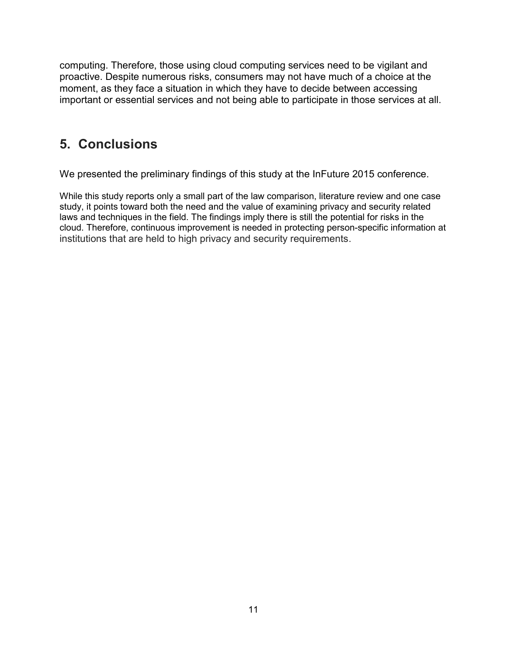computing. Therefore, those using cloud computing services need to be vigilant and proactive. Despite numerous risks, consumers may not have much of a choice at the moment, as they face a situation in which they have to decide between accessing important or essential services and not being able to participate in those services at all.

#### **5. Conclusions**

We presented the preliminary findings of this study at the InFuture 2015 conference.

While this study reports only a small part of the law comparison, literature review and one case study, it points toward both the need and the value of examining privacy and security related laws and techniques in the field. The findings imply there is still the potential for risks in the cloud. Therefore, continuous improvement is needed in protecting person-specific information at institutions that are held to high privacy and security requirements.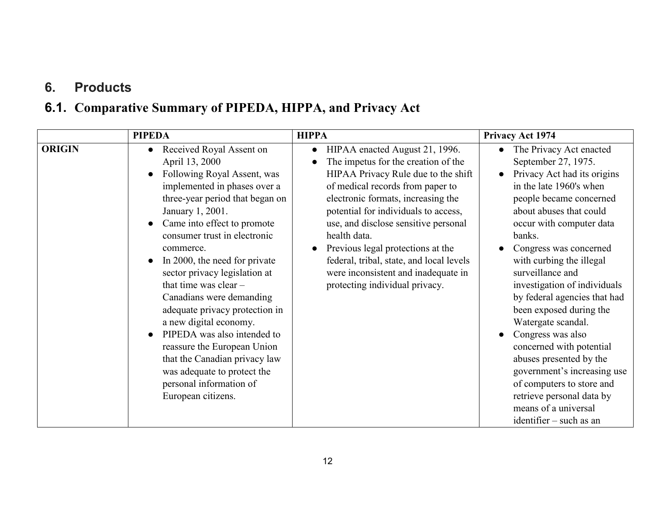## **6. Products**

## **6.1. Comparative Summary of PIPEDA, HIPPA, and Privacy Act**

|               | <b>PIPEDA</b>                                                                                                                                                                                                                                                                                                                                                                                                                                                                                                                                                                                                    | <b>HIPPA</b>                                                                                                                                                                                                                                                                                                                                                                                                                                                  | <b>Privacy Act 1974</b>                                                                                                                                                                                                                                                                                                                                                                                                                                                                                                                                                                                                 |
|---------------|------------------------------------------------------------------------------------------------------------------------------------------------------------------------------------------------------------------------------------------------------------------------------------------------------------------------------------------------------------------------------------------------------------------------------------------------------------------------------------------------------------------------------------------------------------------------------------------------------------------|---------------------------------------------------------------------------------------------------------------------------------------------------------------------------------------------------------------------------------------------------------------------------------------------------------------------------------------------------------------------------------------------------------------------------------------------------------------|-------------------------------------------------------------------------------------------------------------------------------------------------------------------------------------------------------------------------------------------------------------------------------------------------------------------------------------------------------------------------------------------------------------------------------------------------------------------------------------------------------------------------------------------------------------------------------------------------------------------------|
| <b>ORIGIN</b> | Received Royal Assent on<br>April 13, 2000<br>Following Royal Assent, was<br>implemented in phases over a<br>three-year period that began on<br>January 1, 2001.<br>Came into effect to promote<br>consumer trust in electronic<br>commerce.<br>In 2000, the need for private<br>sector privacy legislation at<br>that time was clear $-$<br>Canadians were demanding<br>adequate privacy protection in<br>a new digital economy.<br>PIPEDA was also intended to<br>reassure the European Union<br>that the Canadian privacy law<br>was adequate to protect the<br>personal information of<br>European citizens. | HIPAA enacted August 21, 1996.<br>$\bullet$<br>The impetus for the creation of the<br>HIPAA Privacy Rule due to the shift<br>of medical records from paper to<br>electronic formats, increasing the<br>potential for individuals to access,<br>use, and disclose sensitive personal<br>health data.<br>Previous legal protections at the<br>federal, tribal, state, and local levels<br>were inconsistent and inadequate in<br>protecting individual privacy. | The Privacy Act enacted<br>September 27, 1975.<br>Privacy Act had its origins<br>in the late 1960's when<br>people became concerned<br>about abuses that could<br>occur with computer data<br>banks.<br>Congress was concerned<br>with curbing the illegal<br>surveillance and<br>investigation of individuals<br>by federal agencies that had<br>been exposed during the<br>Watergate scandal.<br>Congress was also<br>concerned with potential<br>abuses presented by the<br>government's increasing use<br>of computers to store and<br>retrieve personal data by<br>means of a universal<br>identifier – such as an |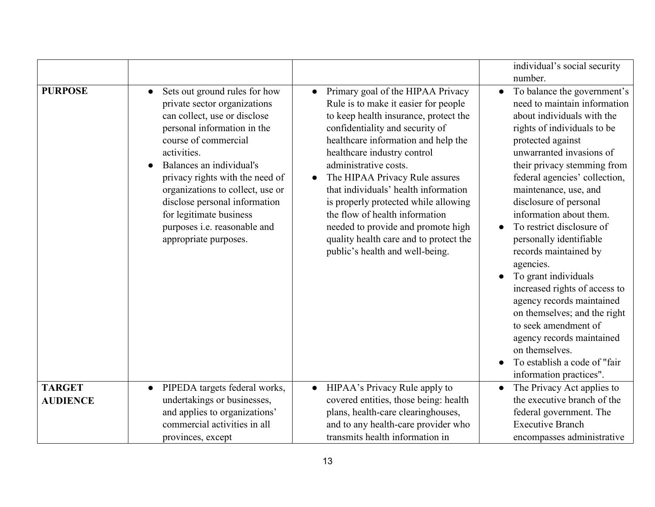|                                  |                                                                                                                                                                                                                                                                                                                                                                                                          |                                                                                                                                                                                                                                                                                                                                                                                                                                                                                                                                          | individual's social security<br>number.                                                                                                                                                                                                                                                                                                                                                                                                                                                                                                                                                                                                                                                    |
|----------------------------------|----------------------------------------------------------------------------------------------------------------------------------------------------------------------------------------------------------------------------------------------------------------------------------------------------------------------------------------------------------------------------------------------------------|------------------------------------------------------------------------------------------------------------------------------------------------------------------------------------------------------------------------------------------------------------------------------------------------------------------------------------------------------------------------------------------------------------------------------------------------------------------------------------------------------------------------------------------|--------------------------------------------------------------------------------------------------------------------------------------------------------------------------------------------------------------------------------------------------------------------------------------------------------------------------------------------------------------------------------------------------------------------------------------------------------------------------------------------------------------------------------------------------------------------------------------------------------------------------------------------------------------------------------------------|
| <b>PURPOSE</b>                   | Sets out ground rules for how<br>$\bullet$<br>private sector organizations<br>can collect, use or disclose<br>personal information in the<br>course of commercial<br>activities.<br>Balances an individual's<br>privacy rights with the need of<br>organizations to collect, use or<br>disclose personal information<br>for legitimate business<br>purposes i.e. reasonable and<br>appropriate purposes. | Primary goal of the HIPAA Privacy<br>Rule is to make it easier for people<br>to keep health insurance, protect the<br>confidentiality and security of<br>healthcare information and help the<br>healthcare industry control<br>administrative costs.<br>The HIPAA Privacy Rule assures<br>$\bullet$<br>that individuals' health information<br>is properly protected while allowing<br>the flow of health information<br>needed to provide and promote high<br>quality health care and to protect the<br>public's health and well-being. | To balance the government's<br>$\bullet$<br>need to maintain information<br>about individuals with the<br>rights of individuals to be<br>protected against<br>unwarranted invasions of<br>their privacy stemming from<br>federal agencies' collection,<br>maintenance, use, and<br>disclosure of personal<br>information about them.<br>To restrict disclosure of<br>personally identifiable<br>records maintained by<br>agencies.<br>To grant individuals<br>increased rights of access to<br>agency records maintained<br>on themselves; and the right<br>to seek amendment of<br>agency records maintained<br>on themselves.<br>To establish a code of "fair<br>information practices". |
| <b>TARGET</b><br><b>AUDIENCE</b> | PIPEDA targets federal works,<br>$\bullet$<br>undertakings or businesses,<br>and applies to organizations'                                                                                                                                                                                                                                                                                               | HIPAA's Privacy Rule apply to<br>covered entities, those being: health<br>plans, health-care clearinghouses,                                                                                                                                                                                                                                                                                                                                                                                                                             | The Privacy Act applies to<br>the executive branch of the<br>federal government. The                                                                                                                                                                                                                                                                                                                                                                                                                                                                                                                                                                                                       |
|                                  | commercial activities in all<br>provinces, except                                                                                                                                                                                                                                                                                                                                                        | and to any health-care provider who<br>transmits health information in                                                                                                                                                                                                                                                                                                                                                                                                                                                                   | <b>Executive Branch</b><br>encompasses administrative                                                                                                                                                                                                                                                                                                                                                                                                                                                                                                                                                                                                                                      |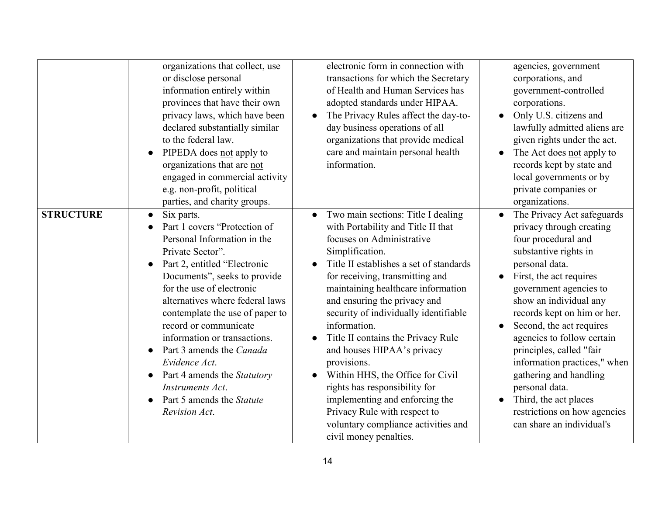|                  | organizations that collect, use          | electronic form in connection with                | agencies, government                    |
|------------------|------------------------------------------|---------------------------------------------------|-----------------------------------------|
|                  | or disclose personal                     | transactions for which the Secretary              | corporations, and                       |
|                  | information entirely within              | of Health and Human Services has                  |                                         |
|                  |                                          |                                                   | government-controlled                   |
|                  | provinces that have their own            | adopted standards under HIPAA.                    | corporations.                           |
|                  | privacy laws, which have been            | The Privacy Rules affect the day-to-<br>$\bullet$ | Only U.S. citizens and                  |
|                  | declared substantially similar           | day business operations of all                    | lawfully admitted aliens are            |
|                  | to the federal law.                      | organizations that provide medical                | given rights under the act.             |
|                  | PIPEDA does not apply to                 | care and maintain personal health                 | The Act does not apply to               |
|                  | organizations that are not               | information.                                      | records kept by state and               |
|                  | engaged in commercial activity           |                                                   | local governments or by                 |
|                  | e.g. non-profit, political               |                                                   | private companies or                    |
|                  | parties, and charity groups.             |                                                   | organizations.                          |
| <b>STRUCTURE</b> | Six parts.<br>$\bullet$                  | Two main sections: Title I dealing<br>$\bullet$   | The Privacy Act safeguards<br>$\bullet$ |
|                  | Part 1 covers "Protection of             | with Portability and Title II that                | privacy through creating                |
|                  | Personal Information in the              | focuses on Administrative                         | four procedural and                     |
|                  | Private Sector".                         | Simplification.                                   | substantive rights in                   |
|                  | Part 2, entitled "Electronic             | Title II establishes a set of standards           | personal data.                          |
|                  | Documents", seeks to provide             | for receiving, transmitting and                   | First, the act requires                 |
|                  | for the use of electronic                | maintaining healthcare information                |                                         |
|                  |                                          |                                                   | government agencies to                  |
|                  | alternatives where federal laws          | and ensuring the privacy and                      | show an individual any                  |
|                  | contemplate the use of paper to          | security of individually identifiable             | records kept on him or her.             |
|                  | record or communicate                    | information.                                      | Second, the act requires                |
|                  | information or transactions.             | Title II contains the Privacy Rule                | agencies to follow certain              |
|                  | Part 3 amends the Canada                 | and houses HIPAA's privacy                        | principles, called "fair                |
|                  | Evidence Act.                            | provisions.                                       | information practices," when            |
|                  | Part 4 amends the Statutory<br>$\bullet$ | Within HHS, the Office for Civil<br>$\bullet$     | gathering and handling                  |
|                  | Instruments Act.                         | rights has responsibility for                     | personal data.                          |
|                  | Part 5 amends the Statute                | implementing and enforcing the                    | Third, the act places                   |
|                  | Revision Act.                            | Privacy Rule with respect to                      | restrictions on how agencies            |
|                  |                                          | voluntary compliance activities and               | can share an individual's               |
|                  |                                          | civil money penalties.                            |                                         |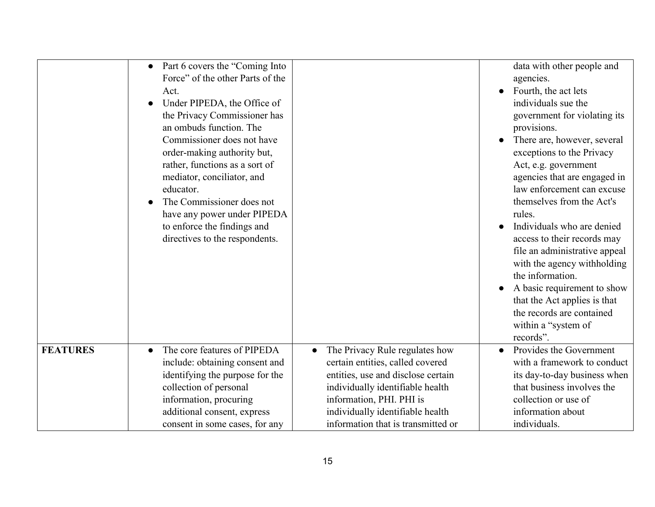| Part 6 covers the "Coming Into"<br>$\bullet$                |                                    | data with other people and           |
|-------------------------------------------------------------|------------------------------------|--------------------------------------|
| Force" of the other Parts of the                            |                                    |                                      |
|                                                             |                                    | agencies.                            |
| Act.                                                        |                                    | Fourth, the act lets                 |
| Under PIPEDA, the Office of                                 |                                    | individuals sue the                  |
| the Privacy Commissioner has                                |                                    | government for violating its         |
| an ombuds function. The                                     |                                    | provisions.                          |
| Commissioner does not have                                  |                                    | There are, however, several          |
| order-making authority but,                                 |                                    | exceptions to the Privacy            |
| rather, functions as a sort of                              |                                    | Act, e.g. government                 |
| mediator, conciliator, and                                  |                                    | agencies that are engaged in         |
| educator.                                                   |                                    | law enforcement can excuse           |
| The Commissioner does not                                   |                                    | themselves from the Act's            |
| have any power under PIPEDA                                 |                                    | rules.                               |
| to enforce the findings and                                 |                                    | Individuals who are denied           |
| directives to the respondents.                              |                                    | access to their records may          |
|                                                             |                                    | file an administrative appeal        |
|                                                             |                                    | with the agency withholding          |
|                                                             |                                    | the information.                     |
|                                                             |                                    | A basic requirement to show          |
|                                                             |                                    | that the Act applies is that         |
|                                                             |                                    | the records are contained            |
|                                                             |                                    | within a "system of                  |
|                                                             |                                    | records".                            |
| <b>FEATURES</b><br>The core features of PIPEDA<br>$\bullet$ | The Privacy Rule regulates how     | Provides the Government<br>$\bullet$ |
| include: obtaining consent and                              | certain entities, called covered   | with a framework to conduct          |
| identifying the purpose for the                             | entities, use and disclose certain | its day-to-day business when         |
| collection of personal                                      | individually identifiable health   | that business involves the           |
| information, procuring                                      | information, PHI. PHI is           | collection or use of                 |
| additional consent, express                                 | individually identifiable health   | information about                    |
| consent in some cases, for any                              | information that is transmitted or | individuals.                         |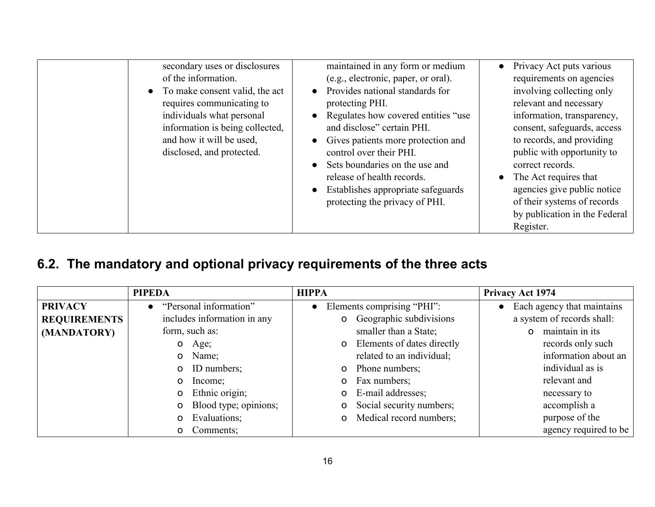| secondary uses or disclosures<br>of the information.<br>• To make consent valid, the act<br>requires communicating to<br>individuals what personal<br>information is being collected,<br>and how it will be used.<br>disclosed, and protected. | maintained in any form or medium<br>(e.g., electronic, paper, or oral).<br>Provides national standards for<br>protecting PHI.<br>Regulates how covered entities "use<br>and disclose" certain PHI.<br>Gives patients more protection and<br>control over their PHI.<br>Sets boundaries on the use and<br>release of health records.<br>Establishes appropriate safeguards<br>protecting the privacy of PHI. | Privacy Act puts various<br>$\bullet$<br>requirements on agencies<br>involving collecting only<br>relevant and necessary<br>information, transparency,<br>consent, safeguards, access<br>to records, and providing<br>public with opportunity to<br>correct records.<br>The Act requires that<br>$\bullet$<br>agencies give public notice<br>of their systems of records<br>by publication in the Federal |
|------------------------------------------------------------------------------------------------------------------------------------------------------------------------------------------------------------------------------------------------|-------------------------------------------------------------------------------------------------------------------------------------------------------------------------------------------------------------------------------------------------------------------------------------------------------------------------------------------------------------------------------------------------------------|-----------------------------------------------------------------------------------------------------------------------------------------------------------------------------------------------------------------------------------------------------------------------------------------------------------------------------------------------------------------------------------------------------------|
|                                                                                                                                                                                                                                                |                                                                                                                                                                                                                                                                                                                                                                                                             | Register.                                                                                                                                                                                                                                                                                                                                                                                                 |

## **6.2. The mandatory and optional privacy requirements of the three acts**

|                     | <b>PIPEDA</b>                       | <b>HIPPA</b>                               | <b>Privacy Act 1974</b>     |
|---------------------|-------------------------------------|--------------------------------------------|-----------------------------|
| <b>PRIVACY</b>      | "Personal information"<br>$\bullet$ | Elements comprising "PHI":<br>$\bullet$    | Each agency that maintains  |
| <b>REQUIREMENTS</b> | includes information in any         | <b>o</b> Geographic subdivisions           | a system of records shall:  |
| (MANDATORY)         | form, such as:                      | smaller than a State;                      | maintain in its<br>$\Omega$ |
|                     | Age;<br>$\mathsf{o}$                | Elements of dates directly<br>$\mathbf{o}$ | records only such           |
|                     | Name;<br>$\mathsf{o}$               | related to an individual;                  | information about an        |
|                     | ID numbers;<br>$\Omega$             | Phone numbers;<br>$\mathbf{O}$             | individual as is            |
|                     | Income;<br>$\Omega$                 | Fax numbers;<br>$\Omega$                   | relevant and                |
|                     | Ethnic origin;<br>$\Omega$          | E-mail addresses;<br>$\mathsf{o}$          | necessary to                |
|                     | Blood type; opinions;<br>$\Omega$   | Social security numbers;<br>$\circ$        | accomplish a                |
|                     | Evaluations;<br>$\Omega$            | Medical record numbers;<br>O               | purpose of the              |
|                     | Comments;<br>$\Omega$               |                                            | agency required to be       |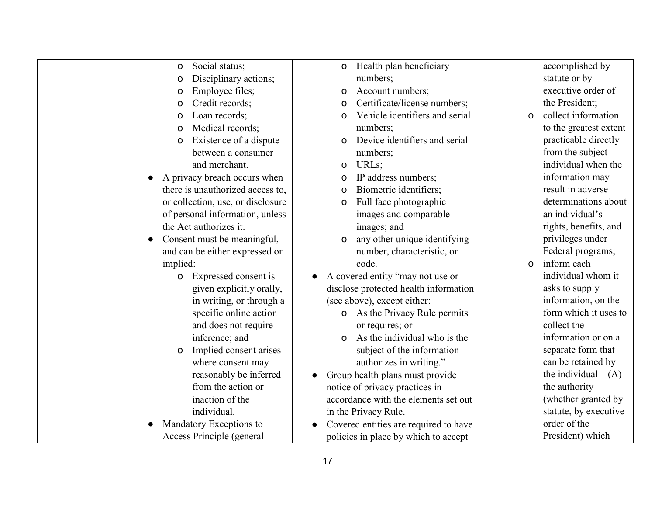| Social status;<br>$\mathbf O$        | Health plan beneficiary<br>0             | accomplished by                       |
|--------------------------------------|------------------------------------------|---------------------------------------|
| Disciplinary actions;<br>$\circ$     | numbers;                                 | statute or by                         |
| Employee files;<br>O                 | Account numbers;<br>O                    | executive order of                    |
| Credit records;<br>O                 | Certificate/license numbers;<br>0        | the President;                        |
| Loan records;<br>$\circ$             | Vehicle identifiers and serial<br>O      | collect information<br>$\Omega$       |
| Medical records;<br>$\circ$          | numbers;                                 | to the greatest extent                |
| Existence of a dispute<br>O          | Device identifiers and serial            | practicable directly                  |
| between a consumer                   | numbers;                                 | from the subject                      |
| and merchant.                        | URLs;<br>o                               | individual when the                   |
| A privacy breach occurs when         | IP address numbers;<br>0                 | information may                       |
| there is unauthorized access to,     | Biometric identifiers;<br>O              | result in adverse                     |
| or collection, use, or disclosure    | Full face photographic<br>o              | determinations about                  |
| of personal information, unless      | images and comparable                    | an individual's                       |
| the Act authorizes it.               | images; and                              | rights, benefits, and                 |
| Consent must be meaningful,          | any other unique identifying<br>$\Omega$ | privileges under                      |
| and can be either expressed or       | number, characteristic, or               | Federal programs;                     |
| implied:                             | code.                                    | inform each<br>$\Omega$               |
| Expressed consent is<br>$\mathsf{o}$ | A covered entity "may not use or         | individual whom it                    |
| given explicitly orally,             | disclose protected health information    | asks to supply                        |
| in writing, or through a             | (see above), except either:              | information, on the                   |
| specific online action               | <b>o</b> As the Privacy Rule permits     | form which it uses to                 |
| and does not require                 | or requires; or                          | collect the                           |
| inference; and                       | As the individual who is the<br>$\Omega$ | information or on a                   |
| Implied consent arises               | subject of the information               | separate form that                    |
| O<br>where consent may               | authorizes in writing."                  | can be retained by                    |
| reasonably be inferred               |                                          | the individual $- (A)$                |
| from the action or                   | Group health plans must provide          | the authority                         |
| inaction of the                      | notice of privacy practices in           | (whether granted by                   |
| individual.                          | accordance with the elements set out     |                                       |
|                                      | in the Privacy Rule.                     | statute, by executive<br>order of the |
| Mandatory Exceptions to              | Covered entities are required to have    |                                       |
| Access Principle (general            | policies in place by which to accept     | President) which                      |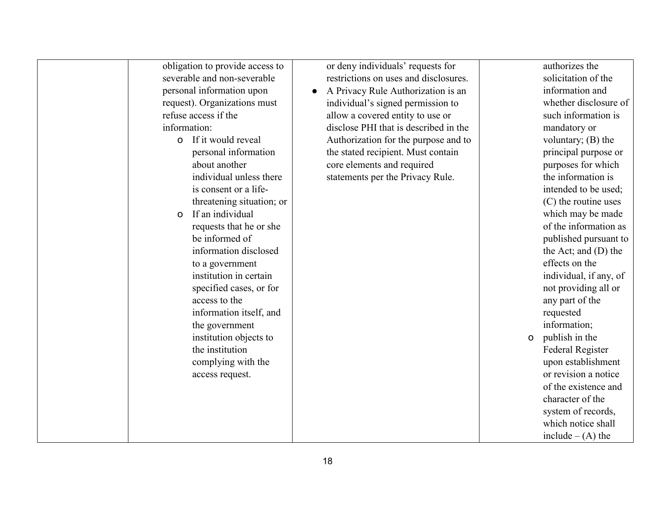| obligation to provide access to  | or deny individuals' requests for               | authorizes the                |
|----------------------------------|-------------------------------------------------|-------------------------------|
| severable and non-severable      | restrictions on uses and disclosures.           | solicitation of the           |
| personal information upon        | A Privacy Rule Authorization is an<br>$\bullet$ | information and               |
| request). Organizations must     | individual's signed permission to               | whether disclosure of         |
| refuse access if the             | allow a covered entity to use or                | such information is           |
| information:                     | disclose PHI that is described in the           | mandatory or                  |
| <b>o</b> If it would reveal      | Authorization for the purpose and to            | voluntary; $(B)$ the          |
| personal information             | the stated recipient. Must contain              | principal purpose or          |
| about another                    | core elements and required                      | purposes for which            |
| individual unless there          | statements per the Privacy Rule.                | the information is            |
| is consent or a life-            |                                                 | intended to be used;          |
| threatening situation; or        |                                                 | (C) the routine uses          |
| If an individual<br>$\mathsf{o}$ |                                                 | which may be made             |
| requests that he or she          |                                                 | of the information as         |
| be informed of                   |                                                 | published pursuant to         |
| information disclosed            |                                                 | the Act; and $(D)$ the        |
| to a government                  |                                                 | effects on the                |
| institution in certain           |                                                 | individual, if any, of        |
| specified cases, or for          |                                                 | not providing all or          |
| access to the                    |                                                 | any part of the               |
| information itself, and          |                                                 | requested                     |
| the government                   |                                                 | information;                  |
| institution objects to           |                                                 | publish in the<br>$\mathsf O$ |
| the institution                  |                                                 | <b>Federal Register</b>       |
|                                  |                                                 | upon establishment            |
| complying with the               |                                                 | or revision a notice          |
| access request.                  |                                                 |                               |
|                                  |                                                 | of the existence and          |
|                                  |                                                 | character of the              |
|                                  |                                                 | system of records,            |
|                                  |                                                 | which notice shall            |
|                                  |                                                 | include $-(A)$ the            |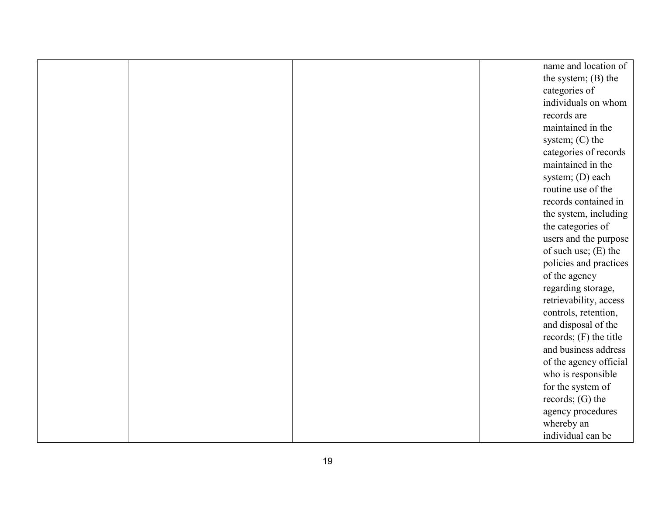|  | name and location of     |
|--|--------------------------|
|  | the system; $(B)$ the    |
|  | categories of            |
|  | individuals on whom      |
|  | records are              |
|  | maintained in the        |
|  | system; $(C)$ the        |
|  | categories of records    |
|  | maintained in the        |
|  | system; (D) each         |
|  | routine use of the       |
|  | records contained in     |
|  | the system, including    |
|  | the categories of        |
|  | users and the purpose    |
|  | of such use; $(E)$ the   |
|  | policies and practices   |
|  | of the agency            |
|  | regarding storage,       |
|  | retrievability, access   |
|  | controls, retention,     |
|  | and disposal of the      |
|  | records; $(F)$ the title |
|  | and business address     |
|  | of the agency official   |
|  | who is responsible       |
|  | for the system of        |
|  | records; $(G)$ the       |
|  | agency procedures        |
|  | whereby an               |
|  | individual can be        |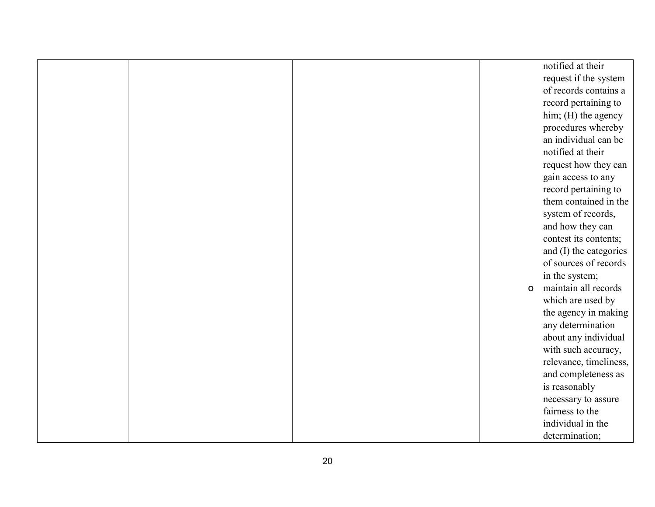|  |              | notified at their      |
|--|--------------|------------------------|
|  |              | request if the system  |
|  |              | of records contains a  |
|  |              | record pertaining to   |
|  |              | him; (H) the agency    |
|  |              | procedures whereby     |
|  |              | an individual can be   |
|  |              | notified at their      |
|  |              | request how they can   |
|  |              | gain access to any     |
|  |              | record pertaining to   |
|  |              | them contained in the  |
|  |              | system of records,     |
|  |              | and how they can       |
|  |              | contest its contents;  |
|  |              | and (I) the categories |
|  |              | of sources of records  |
|  |              | in the system;         |
|  | $\mathsf{o}$ | maintain all records   |
|  |              | which are used by      |
|  |              | the agency in making   |
|  |              | any determination      |
|  |              | about any individual   |
|  |              | with such accuracy,    |
|  |              | relevance, timeliness, |
|  |              | and completeness as    |
|  |              | is reasonably          |
|  |              | necessary to assure    |
|  |              | fairness to the        |
|  |              | individual in the      |
|  |              | determination;         |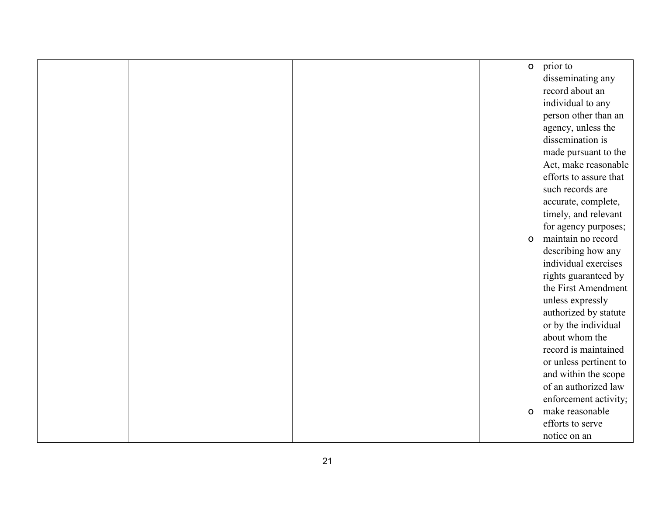|  | $\mathsf{O}$ | prior to               |
|--|--------------|------------------------|
|  |              | disseminating any      |
|  |              | record about an        |
|  |              | individual to any      |
|  |              | person other than an   |
|  |              | agency, unless the     |
|  |              | dissemination is       |
|  |              | made pursuant to the   |
|  |              | Act, make reasonable   |
|  |              | efforts to assure that |
|  |              | such records are       |
|  |              | accurate, complete,    |
|  |              | timely, and relevant   |
|  |              | for agency purposes;   |
|  | $\mathsf{o}$ | maintain no record     |
|  |              | describing how any     |
|  |              | individual exercises   |
|  |              | rights guaranteed by   |
|  |              | the First Amendment    |
|  |              | unless expressly       |
|  |              | authorized by statute  |
|  |              | or by the individual   |
|  |              | about whom the         |
|  |              | record is maintained   |
|  |              | or unless pertinent to |
|  |              | and within the scope   |
|  |              | of an authorized law   |
|  |              | enforcement activity;  |
|  | $\mathsf{o}$ | make reasonable        |
|  |              | efforts to serve       |
|  |              | notice on an           |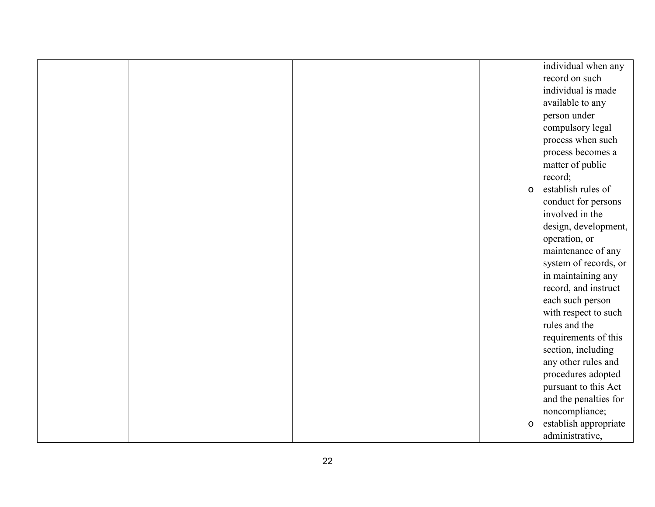|  |              | individual when any   |
|--|--------------|-----------------------|
|  |              | record on such        |
|  |              | individual is made    |
|  |              | available to any      |
|  |              | person under          |
|  |              | compulsory legal      |
|  |              | process when such     |
|  |              | process becomes a     |
|  |              | matter of public      |
|  |              | record;               |
|  | $\mathsf{o}$ | establish rules of    |
|  |              | conduct for persons   |
|  |              | involved in the       |
|  |              | design, development,  |
|  |              | operation, or         |
|  |              | maintenance of any    |
|  |              | system of records, or |
|  |              | in maintaining any    |
|  |              | record, and instruct  |
|  |              | each such person      |
|  |              | with respect to such  |
|  |              | rules and the         |
|  |              | requirements of this  |
|  |              | section, including    |
|  |              | any other rules and   |
|  |              | procedures adopted    |
|  |              | pursuant to this Act  |
|  |              | and the penalties for |
|  |              | noncompliance;        |
|  | $\mathsf O$  | establish appropriate |
|  |              | administrative,       |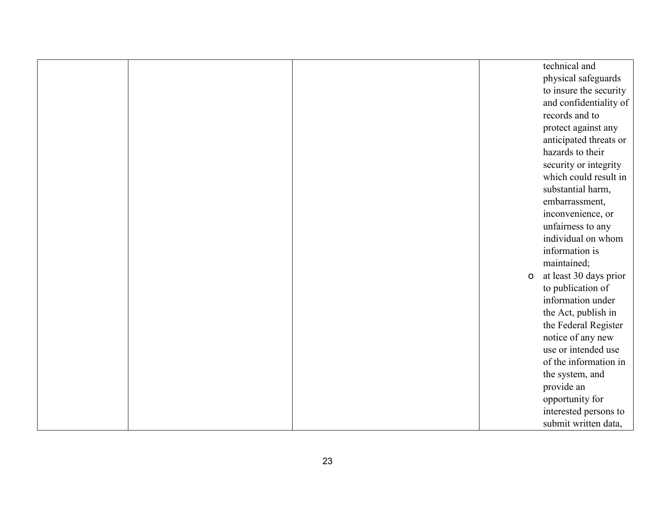|  |              | technical and          |
|--|--------------|------------------------|
|  |              | physical safeguards    |
|  |              | to insure the security |
|  |              | and confidentiality of |
|  |              | records and to         |
|  |              | protect against any    |
|  |              | anticipated threats or |
|  |              | hazards to their       |
|  |              | security or integrity  |
|  |              | which could result in  |
|  |              | substantial harm,      |
|  |              | embarrassment,         |
|  |              | inconvenience, or      |
|  |              | unfairness to any      |
|  |              | individual on whom     |
|  |              | information is         |
|  |              | maintained;            |
|  | $\mathsf{o}$ | at least 30 days prior |
|  |              | to publication of      |
|  |              | information under      |
|  |              | the Act, publish in    |
|  |              | the Federal Register   |
|  |              | notice of any new      |
|  |              | use or intended use    |
|  |              | of the information in  |
|  |              | the system, and        |
|  |              | provide an             |
|  |              | opportunity for        |
|  |              | interested persons to  |
|  |              | submit written data,   |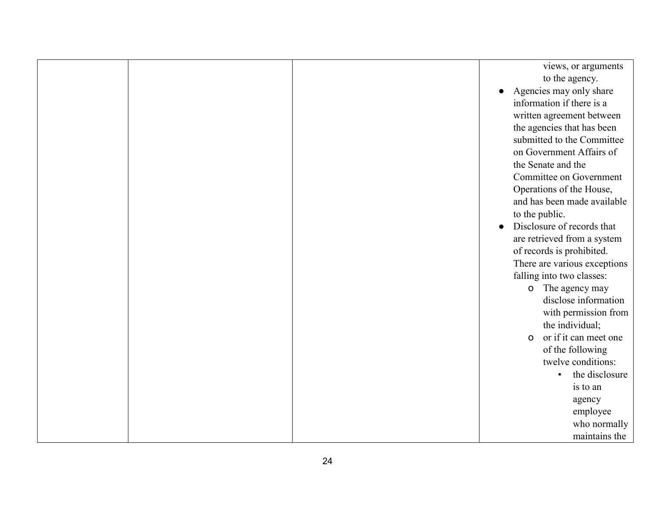|  | views, or arguments                   |
|--|---------------------------------------|
|  | to the agency.                        |
|  | Agencies may only share               |
|  | information if there is a             |
|  | written agreement between             |
|  | the agencies that has been            |
|  | submitted to the Committee            |
|  | on Government Affairs of              |
|  | the Senate and the                    |
|  | Committee on Government               |
|  | Operations of the House,              |
|  | and has been made available           |
|  | to the public.                        |
|  | Disclosure of records that            |
|  | are retrieved from a system           |
|  | of records is prohibited.             |
|  | There are various exceptions          |
|  | falling into two classes:             |
|  | o The agency may                      |
|  | disclose information                  |
|  | with permission from                  |
|  | the individual;                       |
|  | or if it can meet one<br>$\mathsf{o}$ |
|  | of the following                      |
|  | twelve conditions:                    |
|  | the disclosure                        |
|  | is to an                              |
|  | agency                                |
|  | employee                              |
|  | who normally                          |
|  | maintains the                         |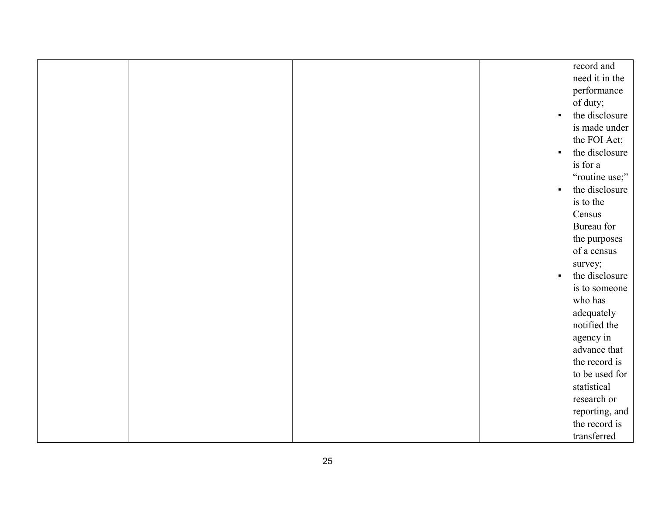|  |                | record and     |
|--|----------------|----------------|
|  |                | need it in the |
|  |                | performance    |
|  |                | of duty;       |
|  | $\blacksquare$ | the disclosure |
|  |                | is made under  |
|  |                | the FOI Act;   |
|  | $\blacksquare$ | the disclosure |
|  |                | is for a       |
|  |                | "routine use;" |
|  | $\blacksquare$ | the disclosure |
|  |                | is to the      |
|  |                | Census         |
|  |                | Bureau for     |
|  |                | the purposes   |
|  |                | of a census    |
|  |                | survey;        |
|  | $\blacksquare$ | the disclosure |
|  |                | is to someone  |
|  |                | who has        |
|  |                | adequately     |
|  |                | notified the   |
|  |                | agency in      |
|  |                | advance that   |
|  |                | the record is  |
|  |                | to be used for |
|  |                | statistical    |
|  |                | research or    |
|  |                | reporting, and |
|  |                | the record is  |
|  |                | transferred    |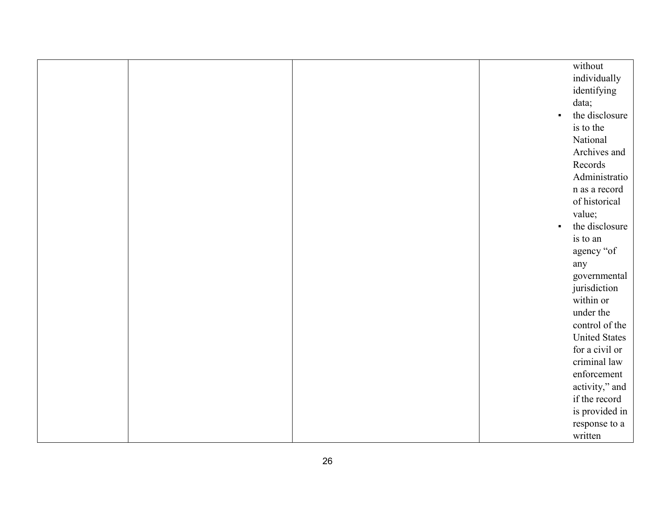|  |                | without              |
|--|----------------|----------------------|
|  |                | individually         |
|  |                | identifying          |
|  |                | data;                |
|  | $\blacksquare$ | the disclosure       |
|  |                | is to the            |
|  |                | National             |
|  |                | Archives and         |
|  |                | Records              |
|  |                | Administratio        |
|  |                | n as a record        |
|  |                | of historical        |
|  |                | value;               |
|  | $\blacksquare$ | the disclosure       |
|  |                | is to an             |
|  |                | agency "of           |
|  |                | any                  |
|  |                | governmental         |
|  |                | jurisdiction         |
|  |                | within or            |
|  |                | under the            |
|  |                | control of the       |
|  |                | <b>United States</b> |
|  |                | for a civil or       |
|  |                | criminal law         |
|  |                | enforcement          |
|  |                | activity," and       |
|  |                | if the record        |
|  |                | is provided in       |
|  |                | response to a        |
|  |                | written              |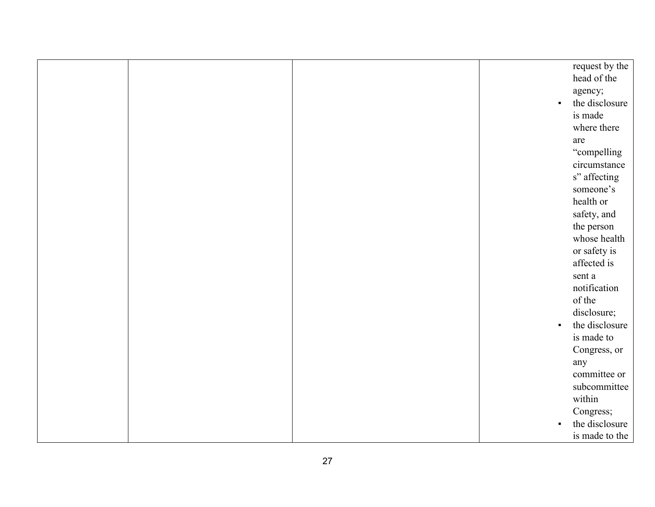|  |                | request by the |
|--|----------------|----------------|
|  |                | head of the    |
|  |                | agency;        |
|  | $\blacksquare$ | the disclosure |
|  |                | is made        |
|  |                | where there    |
|  |                | are            |
|  |                | "compelling    |
|  |                | circumstance   |
|  |                | s" affecting   |
|  |                | someone's      |
|  |                | health or      |
|  |                | safety, and    |
|  |                | the person     |
|  |                | whose health   |
|  |                | or safety is   |
|  |                | affected is    |
|  |                | sent a         |
|  |                | notification   |
|  |                | of the         |
|  |                | disclosure;    |
|  | $\blacksquare$ | the disclosure |
|  |                | is made to     |
|  |                | Congress, or   |
|  |                | any            |
|  |                | committee or   |
|  |                | subcommittee   |
|  |                | within         |
|  |                | Congress;      |
|  |                | the disclosure |
|  |                | is made to the |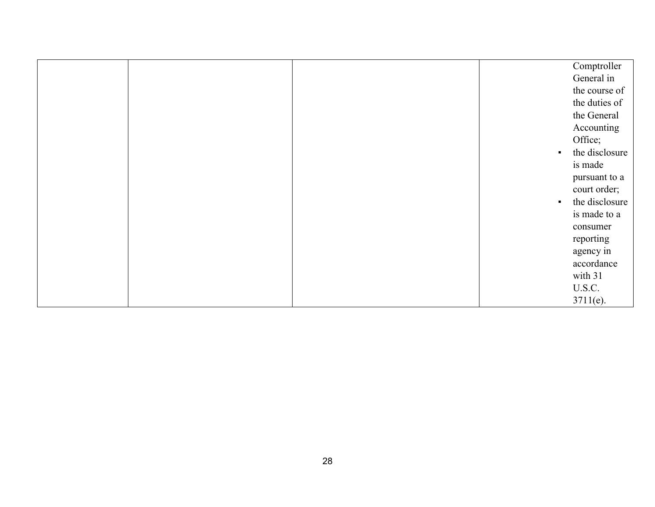|  |                | Comptroller    |
|--|----------------|----------------|
|  |                | General in     |
|  |                | the course of  |
|  |                | the duties of  |
|  |                | the General    |
|  |                | Accounting     |
|  |                | Office;        |
|  | $\blacksquare$ | the disclosure |
|  |                | is made        |
|  |                | pursuant to a  |
|  |                | court order;   |
|  | $\blacksquare$ | the disclosure |
|  |                | is made to a   |
|  |                | consumer       |
|  |                | reporting      |
|  |                | agency in      |
|  |                | accordance     |
|  |                | with 31        |
|  |                | U.S.C.         |
|  |                | $3711(e)$ .    |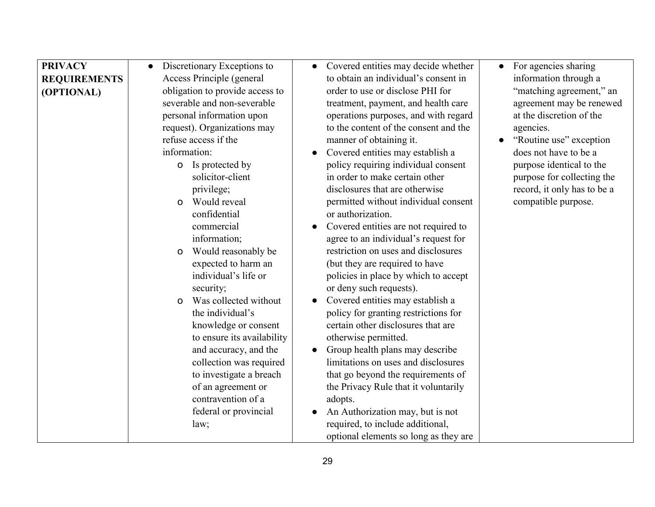| <b>PRIVACY</b><br><b>REQUIREMENTS</b><br>(OPTIONAL) | Discretionary Exceptions to<br>Access Principle (general<br>obligation to provide access to<br>severable and non-severable<br>personal information upon<br>request). Organizations may<br>refuse access if the<br>information:                                                                                                                                                                                                                                                                                     | Covered entities may decide whether<br>to obtain an individual's consent in<br>order to use or disclose PHI for<br>treatment, payment, and health care<br>operations purposes, and with regard<br>to the content of the consent and the<br>manner of obtaining it.<br>Covered entities may establish a<br>$\bullet$                                                                                                                                                                                                                                                                                                                                                                                                                                                                                                            | For agencies sharing<br>information through a<br>"matching agreement," an<br>agreement may be renewed<br>at the discretion of the<br>agencies.<br>"Routine use" exception<br>does not have to be a |
|-----------------------------------------------------|--------------------------------------------------------------------------------------------------------------------------------------------------------------------------------------------------------------------------------------------------------------------------------------------------------------------------------------------------------------------------------------------------------------------------------------------------------------------------------------------------------------------|--------------------------------------------------------------------------------------------------------------------------------------------------------------------------------------------------------------------------------------------------------------------------------------------------------------------------------------------------------------------------------------------------------------------------------------------------------------------------------------------------------------------------------------------------------------------------------------------------------------------------------------------------------------------------------------------------------------------------------------------------------------------------------------------------------------------------------|----------------------------------------------------------------------------------------------------------------------------------------------------------------------------------------------------|
|                                                     | <b>o</b> Is protected by<br>solicitor-client<br>privilege;<br>Would reveal<br>$\Omega$<br>confidential<br>commercial<br>information;<br>Would reasonably be<br>$\mathsf{o}$<br>expected to harm an<br>individual's life or<br>security;<br>Was collected without<br>$\Omega$<br>the individual's<br>knowledge or consent<br>to ensure its availability<br>and accuracy, and the<br>collection was required<br>to investigate a breach<br>of an agreement or<br>contravention of a<br>federal or provincial<br>law; | policy requiring individual consent<br>in order to make certain other<br>disclosures that are otherwise<br>permitted without individual consent<br>or authorization.<br>Covered entities are not required to<br>agree to an individual's request for<br>restriction on uses and disclosures<br>(but they are required to have<br>policies in place by which to accept<br>or deny such requests).<br>Covered entities may establish a<br>policy for granting restrictions for<br>certain other disclosures that are<br>otherwise permitted.<br>Group health plans may describe<br>limitations on uses and disclosures<br>that go beyond the requirements of<br>the Privacy Rule that it voluntarily<br>adopts.<br>An Authorization may, but is not<br>required, to include additional,<br>optional elements so long as they are | purpose identical to the<br>purpose for collecting the<br>record, it only has to be a<br>compatible purpose.                                                                                       |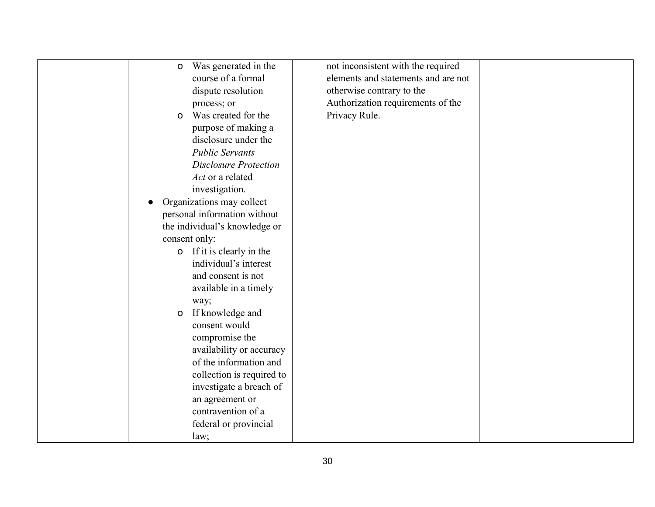| Was generated in the<br>$\mathsf O$   | not inconsistent with the required  |  |
|---------------------------------------|-------------------------------------|--|
| course of a formal                    | elements and statements and are not |  |
| dispute resolution                    | otherwise contrary to the           |  |
| process; or                           | Authorization requirements of the   |  |
| Was created for the<br>O              | Privacy Rule.                       |  |
| purpose of making a                   |                                     |  |
| disclosure under the                  |                                     |  |
| <b>Public Servants</b>                |                                     |  |
| <b>Disclosure Protection</b>          |                                     |  |
| Act or a related                      |                                     |  |
| investigation.                        |                                     |  |
| Organizations may collect             |                                     |  |
| personal information without          |                                     |  |
| the individual's knowledge or         |                                     |  |
| consent only:                         |                                     |  |
| o If it is clearly in the             |                                     |  |
| individual's interest                 |                                     |  |
| and consent is not                    |                                     |  |
| available in a timely                 |                                     |  |
| way;                                  |                                     |  |
| If knowledge and<br>$\mathsf O$       |                                     |  |
| consent would                         |                                     |  |
| compromise the                        |                                     |  |
| availability or accuracy              |                                     |  |
| of the information and                |                                     |  |
| collection is required to             |                                     |  |
| investigate a breach of               |                                     |  |
|                                       |                                     |  |
| an agreement or<br>contravention of a |                                     |  |
|                                       |                                     |  |
| federal or provincial                 |                                     |  |
| law;                                  |                                     |  |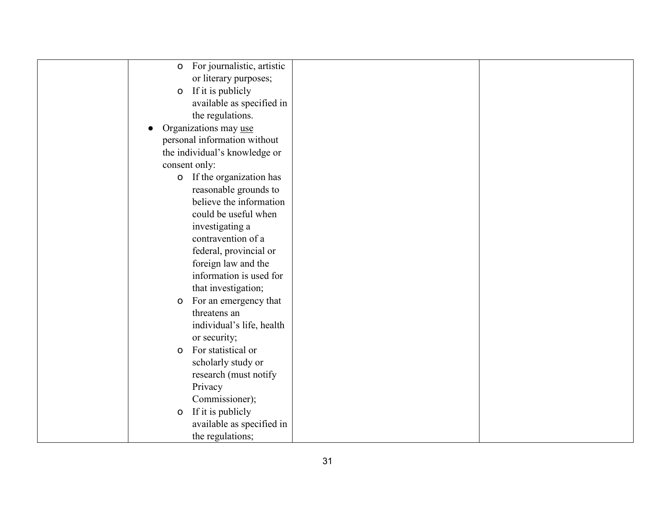| For journalistic, artistic<br>$\mathsf{o}$ |  |
|--------------------------------------------|--|
| or literary purposes;                      |  |
| If it is publicly<br>$\mathsf O$           |  |
| available as specified in                  |  |
| the regulations.                           |  |
| Organizations may use                      |  |
| personal information without               |  |
| the individual's knowledge or              |  |
| consent only:                              |  |
| o If the organization has                  |  |
| reasonable grounds to                      |  |
| believe the information                    |  |
| could be useful when                       |  |
| investigating a                            |  |
| contravention of a                         |  |
| federal, provincial or                     |  |
| foreign law and the                        |  |
| information is used for                    |  |
| that investigation;                        |  |
| For an emergency that<br>$\mathbf O$       |  |
| threatens an                               |  |
| individual's life, health                  |  |
| or security;                               |  |
| For statistical or<br>O                    |  |
| scholarly study or                         |  |
| research (must notify                      |  |
| Privacy                                    |  |
| Commissioner);                             |  |
| If it is publicly<br>$\mathsf O$           |  |
| available as specified in                  |  |
| the regulations;                           |  |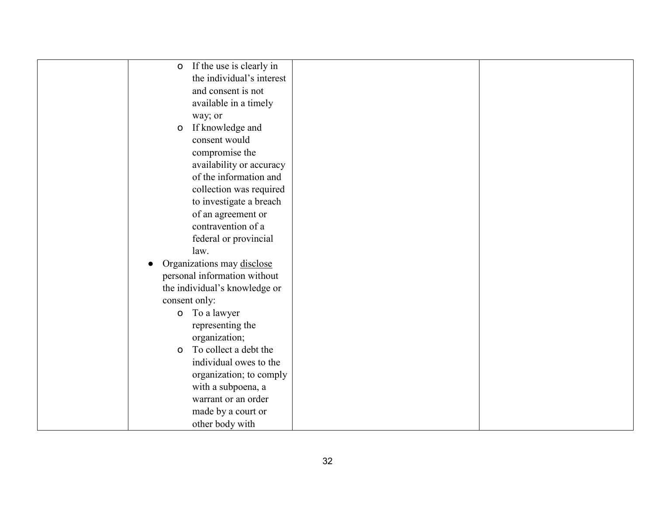| If the use is clearly in<br>$\mathsf{o}$ |  |
|------------------------------------------|--|
| the individual's interest                |  |
| and consent is not                       |  |
| available in a timely                    |  |
| way; or                                  |  |
| If knowledge and<br>$\mathsf{o}$         |  |
| consent would                            |  |
| compromise the                           |  |
| availability or accuracy                 |  |
| of the information and                   |  |
| collection was required                  |  |
| to investigate a breach                  |  |
| of an agreement or                       |  |
| contravention of a                       |  |
| federal or provincial                    |  |
| law.                                     |  |
| Organizations may disclose               |  |
| personal information without             |  |
| the individual's knowledge or            |  |
| consent only:                            |  |
| <b>o</b> To a lawyer                     |  |
| representing the                         |  |
| organization;                            |  |
| To collect a debt the<br>$\mathsf O$     |  |
| individual owes to the                   |  |
| organization; to comply                  |  |
| with a subpoena, a                       |  |
| warrant or an order                      |  |
| made by a court or                       |  |
| other body with                          |  |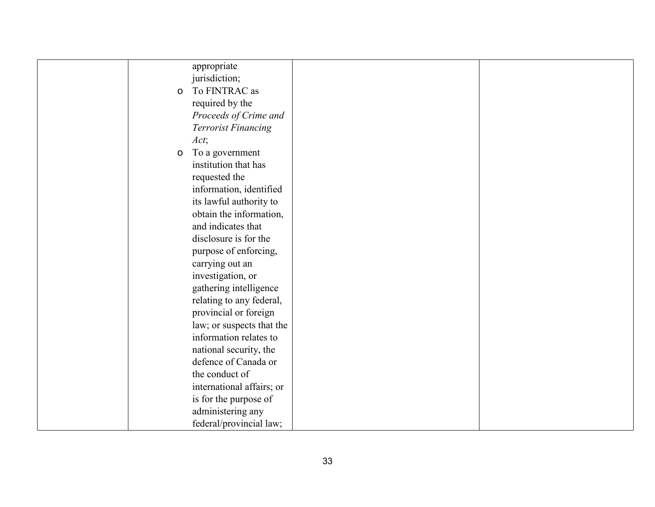|              | appropriate                |  |
|--------------|----------------------------|--|
|              | jurisdiction;              |  |
| $\mathsf{o}$ | To FINTRAC as              |  |
|              | required by the            |  |
|              | Proceeds of Crime and      |  |
|              | <b>Terrorist Financing</b> |  |
|              | Act;                       |  |
| $\mathsf{o}$ | To a government            |  |
|              | institution that has       |  |
|              | requested the              |  |
|              | information, identified    |  |
|              | its lawful authority to    |  |
|              | obtain the information,    |  |
|              | and indicates that         |  |
|              | disclosure is for the      |  |
|              | purpose of enforcing,      |  |
|              |                            |  |
|              | carrying out an            |  |
|              | investigation, or          |  |
|              | gathering intelligence     |  |
|              | relating to any federal,   |  |
|              | provincial or foreign      |  |
|              | law; or suspects that the  |  |
|              | information relates to     |  |
|              | national security, the     |  |
|              | defence of Canada or       |  |
|              | the conduct of             |  |
|              | international affairs; or  |  |
|              | is for the purpose of      |  |
|              | administering any          |  |
|              | federal/provincial law;    |  |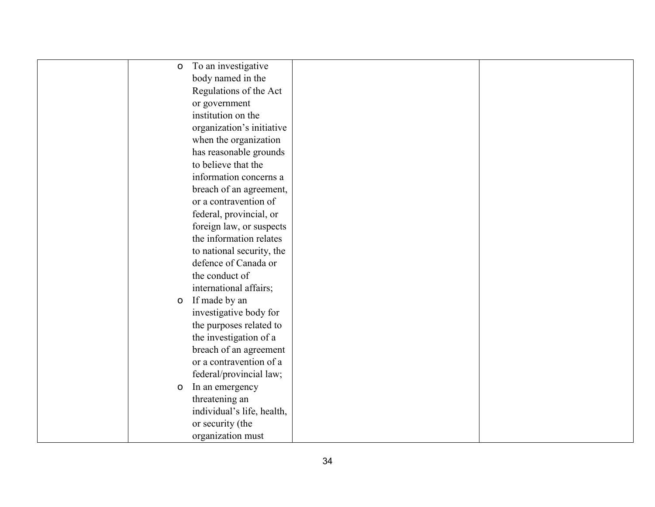| $\mathsf{o}$ | To an investigative        |  |
|--------------|----------------------------|--|
|              | body named in the          |  |
|              | Regulations of the Act     |  |
|              | or government              |  |
|              | institution on the         |  |
|              | organization's initiative  |  |
|              | when the organization      |  |
|              | has reasonable grounds     |  |
|              | to believe that the        |  |
|              | information concerns a     |  |
|              | breach of an agreement,    |  |
|              | or a contravention of      |  |
|              | federal, provincial, or    |  |
|              | foreign law, or suspects   |  |
|              | the information relates    |  |
|              | to national security, the  |  |
|              | defence of Canada or       |  |
|              | the conduct of             |  |
|              | international affairs;     |  |
| $\mathsf O$  | If made by an              |  |
|              | investigative body for     |  |
|              | the purposes related to    |  |
|              | the investigation of a     |  |
|              | breach of an agreement     |  |
|              | or a contravention of a    |  |
|              | federal/provincial law;    |  |
| $\mathsf O$  | In an emergency            |  |
|              | threatening an             |  |
|              | individual's life, health, |  |
|              | or security (the           |  |
|              | organization must          |  |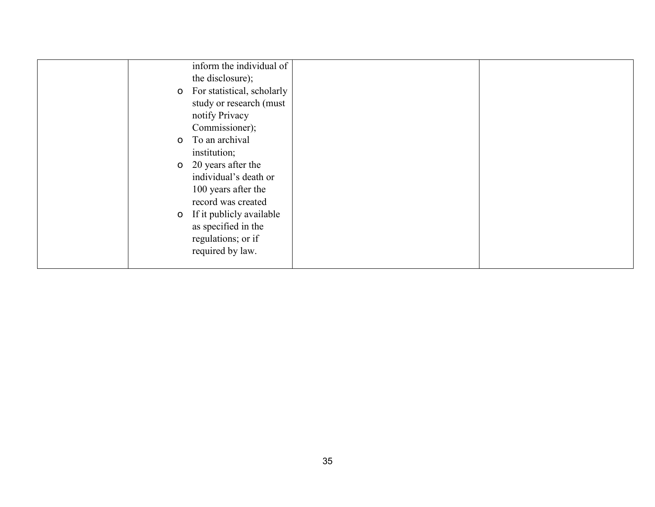| $\mathsf{o}$ | inform the individual of<br>the disclosure);<br>For statistical, scholarly<br>study or research (must |  |
|--------------|-------------------------------------------------------------------------------------------------------|--|
|              | notify Privacy<br>Commissioner);                                                                      |  |
| $\mathsf{o}$ | To an archival<br>institution;                                                                        |  |
| $\mathsf{O}$ | 20 years after the<br>individual's death or<br>100 years after the<br>record was created              |  |
|              | o If it publicly available<br>as specified in the<br>regulations; or if<br>required by law.           |  |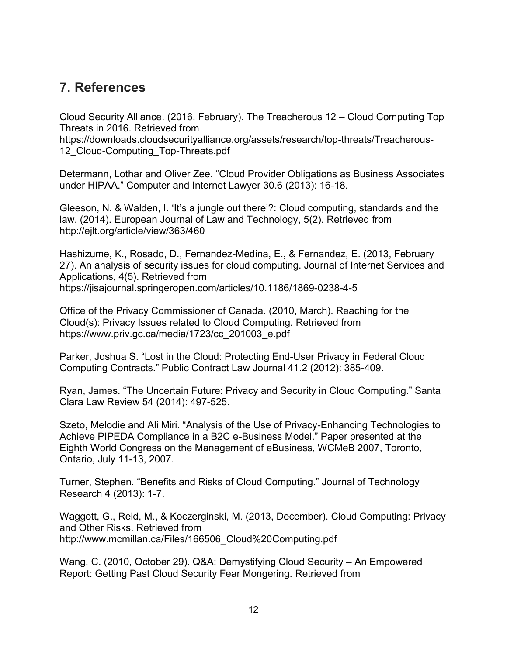#### **7. References**

Cloud Security Alliance. (2016, February). The Treacherous 12 – Cloud Computing Top Threats in 2016. Retrieved from

https://downloads.cloudsecurityalliance.org/assets/research/top-threats/Treacherous-12 Cloud-Computing Top-Threats.pdf

Determann, Lothar and Oliver Zee. "Cloud Provider Obligations as Business Associates under HIPAA." Computer and Internet Lawyer 30.6 (2013): 16-18.

Gleeson, N. & Walden, I. 'It's a jungle out there'?: Cloud computing, standards and the law. (2014). European Journal of Law and Technology, 5(2). Retrieved from http://ejlt.org/article/view/363/460

Hashizume, K., Rosado, D., Fernandez-Medina, E., & Fernandez, E. (2013, February 27). An analysis of security issues for cloud computing. Journal of Internet Services and Applications, 4(5). Retrieved from https://jisajournal.springeropen.com/articles/10.1186/1869-0238-4-5

Office of the Privacy Commissioner of Canada. (2010, March). Reaching for the Cloud(s): Privacy Issues related to Cloud Computing. Retrieved from https://www.priv.gc.ca/media/1723/cc\_201003\_e.pdf

Parker, Joshua S. "Lost in the Cloud: Protecting End-User Privacy in Federal Cloud Computing Contracts." Public Contract Law Journal 41.2 (2012): 385-409.

Ryan, James. "The Uncertain Future: Privacy and Security in Cloud Computing." Santa Clara Law Review 54 (2014): 497-525.

Szeto, Melodie and Ali Miri. "Analysis of the Use of Privacy-Enhancing Technologies to Achieve PIPEDA Compliance in a B2C e-Business Model." Paper presented at the Eighth World Congress on the Management of eBusiness, WCMeB 2007, Toronto, Ontario, July 11-13, 2007.

Turner, Stephen. "Benefits and Risks of Cloud Computing." Journal of Technology Research 4 (2013): 1-7.

Waggott, G., Reid, M., & Koczerginski, M. (2013, December). Cloud Computing: Privacy and Other Risks. Retrieved from http://www.mcmillan.ca/Files/166506\_Cloud%20Computing.pdf

Wang, C. (2010, October 29). Q&A: Demystifying Cloud Security – An Empowered Report: Getting Past Cloud Security Fear Mongering. Retrieved from